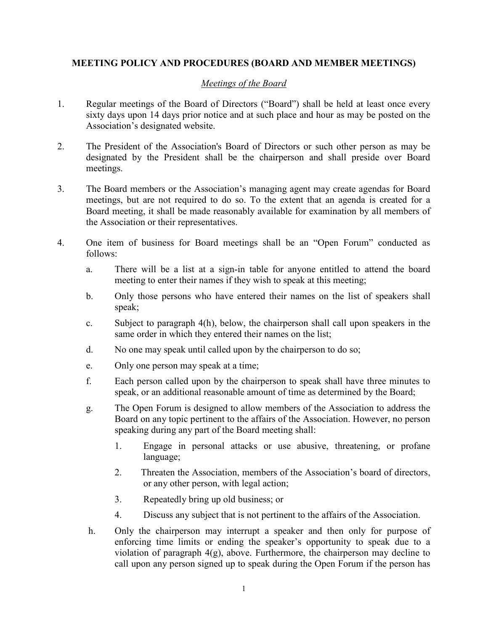## **MEETING POLICY AND PROCEDURES (BOARD AND MEMBER MEETINGS)**

## *Meetings of the Board*

- 1. Regular meetings of the Board of Directors ("Board") shall be held at least once every sixty days upon 14 days prior notice and at such place and hour as may be posted on the Association's designated website.
- 2. The President of the Association's Board of Directors or such other person as may be designated by the President shall be the chairperson and shall preside over Board meetings.
- 3. The Board members or the Association's managing agent may create agendas for Board meetings, but are not required to do so. To the extent that an agenda is created for a Board meeting, it shall be made reasonably available for examination by all members of the Association or their representatives.
- 4. One item of business for Board meetings shall be an "Open Forum" conducted as follows:
	- a. There will be a list at a sign-in table for anyone entitled to attend the board meeting to enter their names if they wish to speak at this meeting;
	- b. Only those persons who have entered their names on the list of speakers shall speak;
	- c. Subject to paragraph 4(h), below, the chairperson shall call upon speakers in the same order in which they entered their names on the list;
	- d. No one may speak until called upon by the chairperson to do so;
	- e. Only one person may speak at a time;
	- f. Each person called upon by the chairperson to speak shall have three minutes to speak, or an additional reasonable amount of time as determined by the Board;
	- g. The Open Forum is designed to allow members of the Association to address the Board on any topic pertinent to the affairs of the Association. However, no person speaking during any part of the Board meeting shall:
		- 1. Engage in personal attacks or use abusive, threatening, or profane language;
		- 2. Threaten the Association, members of the Association's board of directors, or any other person, with legal action;
		- 3. Repeatedly bring up old business; or
		- 4. Discuss any subject that is not pertinent to the affairs of the Association.
	- h. Only the chairperson may interrupt a speaker and then only for purpose of enforcing time limits or ending the speaker's opportunity to speak due to a violation of paragraph 4(g), above. Furthermore, the chairperson may decline to call upon any person signed up to speak during the Open Forum if the person has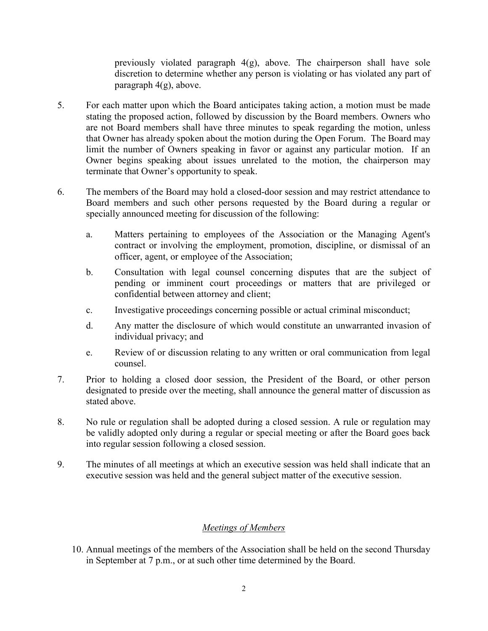previously violated paragraph 4(g), above. The chairperson shall have sole discretion to determine whether any person is violating or has violated any part of paragraph 4(g), above.

- 5. For each matter upon which the Board anticipates taking action, a motion must be made stating the proposed action, followed by discussion by the Board members. Owners who are not Board members shall have three minutes to speak regarding the motion, unless that Owner has already spoken about the motion during the Open Forum. The Board may limit the number of Owners speaking in favor or against any particular motion. If an Owner begins speaking about issues unrelated to the motion, the chairperson may terminate that Owner's opportunity to speak.
- 6. The members of the Board may hold a closed-door session and may restrict attendance to Board members and such other persons requested by the Board during a regular or specially announced meeting for discussion of the following:
	- a. Matters pertaining to employees of the Association or the Managing Agent's contract or involving the employment, promotion, discipline, or dismissal of an officer, agent, or employee of the Association;
	- b. Consultation with legal counsel concerning disputes that are the subject of pending or imminent court proceedings or matters that are privileged or confidential between attorney and client;
	- c. Investigative proceedings concerning possible or actual criminal misconduct;
	- d. Any matter the disclosure of which would constitute an unwarranted invasion of individual privacy; and
	- e. Review of or discussion relating to any written or oral communication from legal counsel.
- 7. Prior to holding a closed door session, the President of the Board, or other person designated to preside over the meeting, shall announce the general matter of discussion as stated above.
- 8. No rule or regulation shall be adopted during a closed session. A rule or regulation may be validly adopted only during a regular or special meeting or after the Board goes back into regular session following a closed session.
- 9. The minutes of all meetings at which an executive session was held shall indicate that an executive session was held and the general subject matter of the executive session.

## *Meetings of Members*

10. Annual meetings of the members of the Association shall be held on the second Thursday in September at 7 p.m., or at such other time determined by the Board.